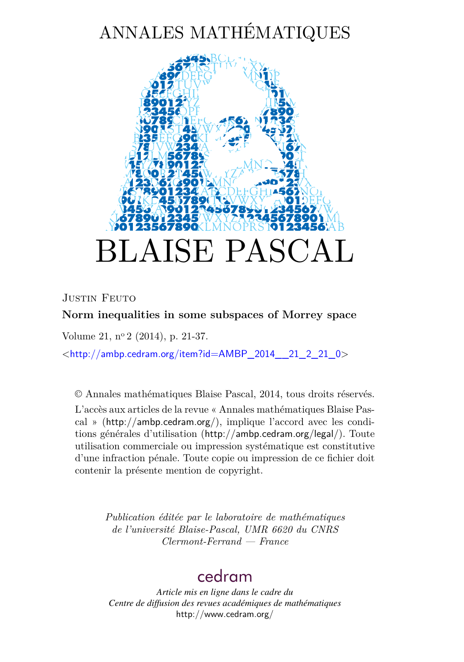# ANNALES MATHÉMATIQUES

<span id="page-0-0"></span>

JUSTIN FEUTO

## **Norm inequalities in some subspaces of Morrey space**

Volume 21, n<sup>o</sup> 2 (2014), p. 21-37.

 $\lt$ [http://ambp.cedram.org/item?id=AMBP\\_2014\\_\\_21\\_2\\_21\\_0](http://ambp.cedram.org/item?id=AMBP_2014__21_2_21_0)>

© Annales mathématiques Blaise Pascal, 2014, tous droits réservés.

L'accès aux articles de la revue « Annales mathématiques Blaise Pascal » (<http://ambp.cedram.org/>), implique l'accord avec les conditions générales d'utilisation (<http://ambp.cedram.org/legal/>). Toute utilisation commerciale ou impression systématique est constitutive d'une infraction pénale. Toute copie ou impression de ce fichier doit contenir la présente mention de copyright.

> *Publication éditée par le laboratoire de mathématiques de l'université Blaise-Pascal, UMR 6620 du CNRS Clermont-Ferrand — France*

## [cedram](http://www.cedram.org/)

*Article mis en ligne dans le cadre du Centre de diffusion des revues académiques de mathématiques* <http://www.cedram.org/>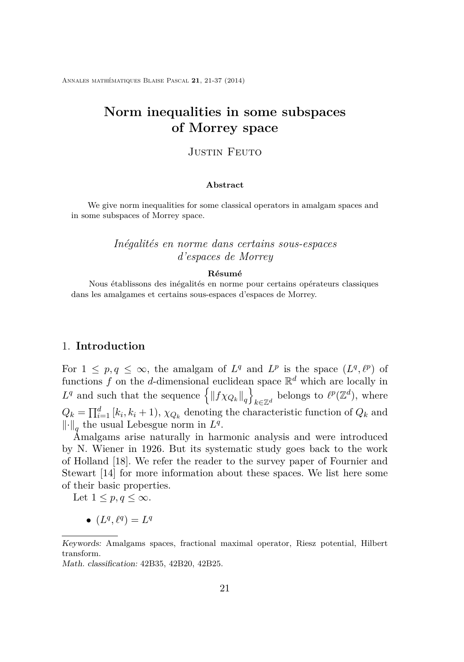Annales mathématiques Blaise Pascal **21**, 21-37 (2014)

## **Norm inequalities in some subspaces of Morrey space**

#### JUSTIN FEUTO

#### **Abstract**

We give norm inequalities for some classical operators in amalgam spaces and in some subspaces of Morrey space.

### *Inégalités en norme dans certains sous-espaces d'espaces de Morrey*

#### **Résumé**

Nous établissons des inégalités en norme pour certains opérateurs classiques dans les amalgames et certains sous-espaces d'espaces de Morrey.

#### 1. **Introduction**

For  $1 \leq p, q \leq \infty$ , the amalgam of  $L^q$  and  $L^p$  is the space  $(L^q, \ell^p)$  of functions  $f$  on the *d*-dimensional euclidean space  $\mathbb{R}^d$  which are locally in  $L^q$  and such that the sequence  $\left\{ \left\| f \chi_{Q_k} \right\|_q \right\}$  $\ker k \in \mathbb{Z}^d$  belongs to  $\ell^p(\mathbb{Z}^d)$ , where  $Q_k = \prod_{i=1}^d [k_i, k_i + 1), \chi_{Q_k}$  denoting the characteristic function of  $Q_k$  and  $\left\Vert \cdot\right\Vert _{q}$  the usual Lebesgue norm in  $L^{q}$ .

Amalgams arise naturally in harmonic analysis and were introduced by N. Wiener in 1926. But its systematic study goes back to the work of Holland [\[18\]](#page-17-0). We refer the reader to the survey paper of Fournier and Stewart [\[14\]](#page-17-0) for more information about these spaces. We list here some of their basic properties.

Let  $1 \leq p, q \leq \infty$ .

•  $(L^q, \ell^q) = L^q$ 

Keywords: Amalgams spaces, fractional maximal operator, Riesz potential, Hilbert transform.

Math. classification: 42B35, 42B20, 42B25.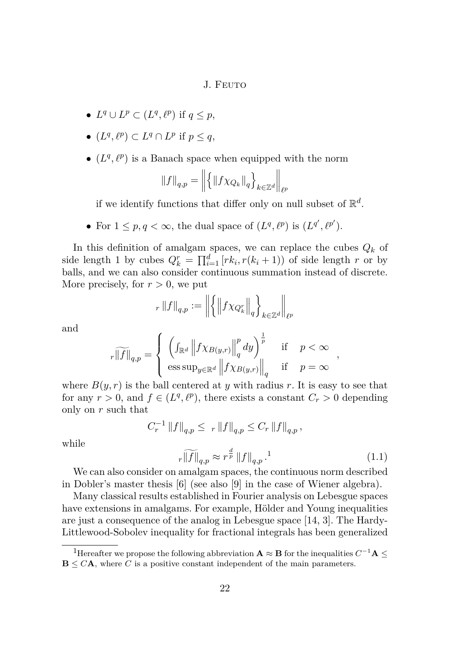- $L^q \cup L^p \subset (L^q, \ell^p)$  if  $q \leq p$ ,
- $(L^q, \ell^p) \subset L^q \cap L^p$  if  $p \leq q$ ,
- $(L^q, \ell^p)$  is a Banach space when equipped with the norm

$$
||f||_{q,p} = ||\{ ||f \chi_{Q_k}||_q \}_{k \in \mathbb{Z}^d} ||_{\ell^p}
$$

if we identify functions that differ only on null subset of  $\mathbb{R}^d$ .

• For  $1 \leq p, q < \infty$ , the dual space of  $(L^q, \ell^p)$  is  $(L^{q'}, \ell^{p'})$ .

In this definition of amalgam spaces, we can replace the cubes *Q<sup>k</sup>* of side length 1 by cubes  $Q_k^r = \prod_{i=1}^d [rk_i, r(k_i+1)]$  of side length *r* or by balls, and we can also consider continuous summation instead of discrete. More precisely, for  $r > 0$ , we put

$$
_{r}\left\Vert f\right\Vert _{q,p}:=\left\Vert \left\{ \left\Vert f\chi_{Q_{k}^{r}}\right\Vert _{q}\right\} _{k\in\mathbb{Z}^{d}}\right\Vert _{\ell^{p}}
$$

and

$$
r\widetilde{\|f\|}_{q,p} = \left\{ \begin{array}{lll} \left( \int_{\mathbb{R}^d} \left\| f \chi_{B(y,r)} \right\|_q^p dy \right)^{\frac{1}{p}} & \text{if} & p < \infty \\ \left. \text{ess}\sup_{y \in \mathbb{R}^d} \left\| f \chi_{B(y,r)} \right\|_q & \text{if} & p = \infty \end{array} \right. \right\},
$$

where  $B(y, r)$  is the ball centered at y with radius r. It is easy to see that for any  $r > 0$ , and  $f \in (L^q, \ell^p)$ , there exists a constant  $C_r > 0$  depending only on *r* such that

$$
C_r^{-1} \|f\|_{q,p} \leq r \|f\|_{q,p} \leq C_r \|f\|_{q,p},
$$

while

$$
r\widetilde{\|f\|}_{q,p} \approx r^{\frac{d}{p}} \|f\|_{q,p} \tag{1.1}
$$

We can also consider on amalgam spaces, the continuous norm described in Dobler's master thesis [\[6\]](#page-16-0) (see also [\[9\]](#page-16-0) in the case of Wiener algebra).

Many classical results established in Fourier analysis on Lebesgue spaces have extensions in amalgams. For example, Hölder and Young inequalities are just a consequence of the analog in Lebesgue space [\[14,](#page-17-0) [3\]](#page-16-0). The Hardy-Littlewood-Sobolev inequality for fractional integrals has been generalized

<sup>&</sup>lt;sup>1</sup>Hereafter we propose the following abbreviation  $\mathbf{A} \approx \mathbf{B}$  for the inequalities  $C^{-1}\mathbf{A} \leq$  $\mathbf{B} \leq C\mathbf{A}$ , where *C* is a positive constant independent of the main parameters.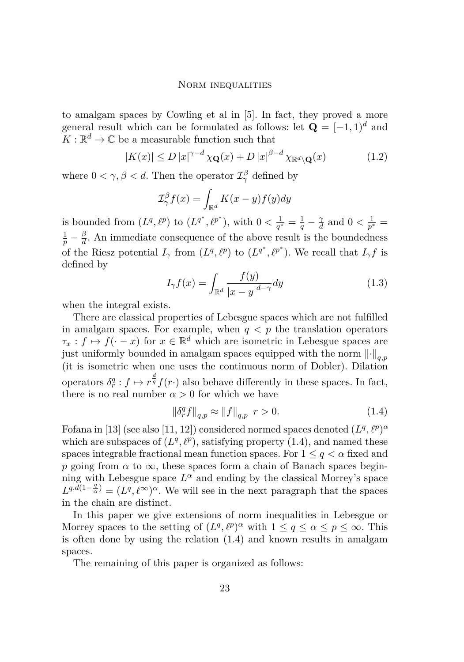<span id="page-3-0"></span>to amalgam spaces by Cowling et al in [\[5\]](#page-16-0). In fact, they proved a more general result which can be formulated as follows: let  $\mathbf{Q} = [-1, 1]^d$  and  $K: \mathbb{R}^d \to \mathbb{C}$  be a measurable function such that

$$
|K(x)| \le D |x|^{\gamma - d} \chi_{\mathbf{Q}}(x) + D |x|^{\beta - d} \chi_{\mathbb{R}^d \setminus \mathbf{Q}}(x) \tag{1.2}
$$

where  $0 < \gamma, \beta < d$ . Then the operator  $\mathcal{I}^{\beta}_{\gamma}$  defined by

$$
\mathcal{I}_{\gamma}^{\beta} f(x) = \int_{\mathbb{R}^d} K(x - y) f(y) dy
$$

is bounded from  $(L^q, \ell^p)$  to  $(L^{q^*}, \ell^{p^*})$ , with  $0 < \frac{1}{q^*}$  $\frac{1}{q^*} = \frac{1}{q} - \frac{\gamma}{d}$  $\frac{\gamma}{d}$  and  $0 < \frac{1}{p^3}$  $\frac{1}{p^*} =$  $\frac{1}{p} - \frac{\beta}{d}$  $\frac{\beta}{d}$ . An immediate consequence of the above result is the boundedness of the Riesz potential  $I_{\gamma}$  from  $(L^q, \ell^p)$  to  $(L^{q^*}, \ell^{p^*})$ . We recall that  $I_{\gamma}f$  is defined by

$$
I_{\gamma}f(x) = \int_{\mathbb{R}^d} \frac{f(y)}{|x - y|^{d - \gamma}} dy
$$
\n(1.3)

when the integral exists.

There are classical properties of Lebesgue spaces which are not fulfilled in amalgam spaces. For example, when  $q < p$  the translation operators  $\tau_x : f \mapsto f(-x)$  for  $x \in \mathbb{R}^d$  which are isometric in Lebesgue spaces are just uniformly bounded in amalgam spaces equipped with the norm  $\lVert \cdot \rVert_{q,p}$ (it is isometric when one uses the continuous norm of Dobler). Dilation operators  $\delta_r^q : f \mapsto r^{\frac{d}{q}} f(r)$  also behave differently in these spaces. In fact, there is no real number  $\alpha > 0$  for which we have

$$
\|\delta_r^q f\|_{q,p} \approx \|f\|_{q,p} \ \ r > 0. \tag{1.4}
$$

Fofana in [\[13\]](#page-16-0) (see also [\[11,](#page-16-0) [12\]](#page-16-0)) considered normed spaces denoted  $(L^q, \ell^p)^\alpha$ which are subspaces of  $(L^q, \ell^p)$ , satisfying property (1.4), and named these spaces integrable fractional mean function spaces. For  $1 \leq q < \alpha$  fixed and *p* going from  $\alpha$  to  $\infty$ , these spaces form a chain of Banach spaces beginning with Lebesgue space  $L^{\alpha}$  and ending by the classical Morrey's space  $L^{q, d(1-\frac{q}{\alpha})} = (L^q, \ell^{\infty})^{\alpha}$ . We will see in the next paragraph that the spaces in the chain are distinct.

In this paper we give extensions of norm inequalities in Lebesgue or Morrey spaces to the setting of  $(L^q, \ell^p)^\alpha$  with  $1 \le q \le \alpha \le p \le \infty$ . This is often done by using the relation (1.4) and known results in amalgam spaces.

The remaining of this paper is organized as follows: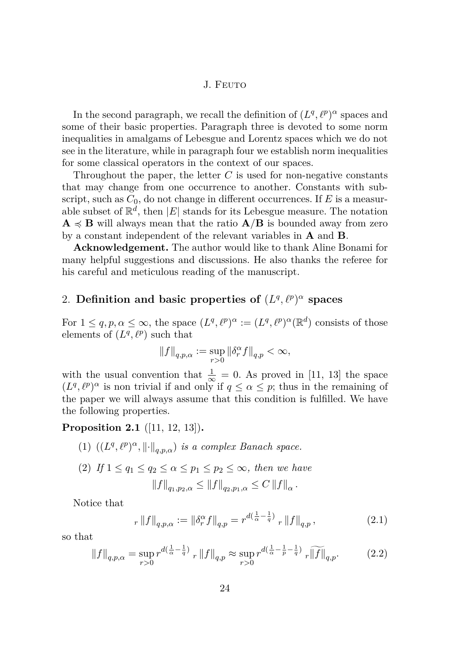<span id="page-4-0"></span>In the second paragraph, we recall the definition of  $(L^q, \ell^p)^\alpha$  spaces and some of their basic properties. Paragraph three is devoted to some norm inequalities in amalgams of Lebesgue and Lorentz spaces which we do not see in the literature, while in paragraph four we establish norm inequalities for some classical operators in the context of our spaces.

Throughout the paper, the letter *C* is used for non-negative constants that may change from one occurrence to another. Constants with subscript, such as  $C_0$ , do not change in different occurrences. If  $E$  is a measurable subset of  $\mathbb{R}^d$ , then  $|E|$  stands for its Lebesgue measure. The notation  $\mathbf{A} \preccurlyeq \mathbf{B}$  will always mean that the ratio  $\mathbf{A}/\mathbf{B}$  is bounded away from zero by a constant independent of the relevant variables in **A** and **B**.

**Acknowledgement.** The author would like to thank Aline Bonami for many helpful suggestions and discussions. He also thanks the referee for his careful and meticulous reading of the manuscript.

## 2. **Definition and basic properties of**  $(L^q, \ell^p)^\alpha$  spaces

For  $1 \leq q, p, \alpha \leq \infty$ , the space  $(L^q, \ell^p)^\alpha := (L^q, \ell^p)^\alpha(\mathbb{R}^d)$  consists of those elements of  $(L^q, \ell^p)$  such that

$$
\left\|f\right\|_{q,p,\alpha}:=\sup_{r>0}\left\|\delta_r^\alpha f\right\|_{q,p}<\infty,
$$

with the usual convention that  $\frac{1}{\infty} = 0$ . As proved in [\[11,](#page-16-0) [13\]](#page-16-0) the space  $(L^q, \ell^p)^\alpha$  is non trivial if and only if  $q \leq \alpha \leq p$ ; thus in the remaining of the paper we will always assume that this condition is fulfilled. We have the following properties.

**Proposition 2.1** ([\[11,](#page-16-0) [12,](#page-16-0) [13\]](#page-16-0))**.**

- (1)  $((L^q, \ell^p)^\alpha, \left\| \cdot \right\|_{q,p,\alpha})$  *is a complex Banach space.*
- (2) If  $1 \le q_1 \le q_2 \le \alpha \le p_1 \le p_2 \le \infty$ , then we have  $||f||_{q_1, p_2, \alpha} \leq ||f||_{q_2, p_1, \alpha} \leq C ||f||_{\alpha}$ .

Notice that

$$
r \|f\|_{q,p,\alpha} := \|\delta_r^{\alpha} f\|_{q,p} = r^{d(\frac{1}{\alpha} - \frac{1}{q})} r \|f\|_{q,p},
$$
\n(2.1)

so that

$$
||f||_{q,p,\alpha} = \sup_{r>0} r^{d(\frac{1}{\alpha} - \frac{1}{q})} r ||f||_{q,p} \approx \sup_{r>0} r^{d(\frac{1}{\alpha} - \frac{1}{p} - \frac{1}{q})} r ||f||_{q,p}.
$$
 (2.2)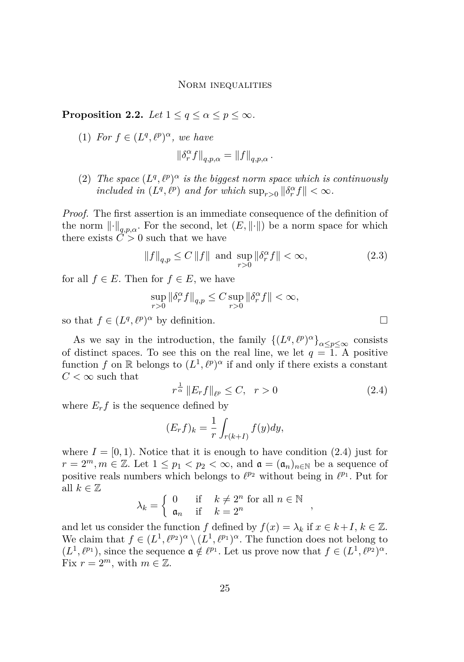**Proposition 2.2.** *Let*  $1 \leq q \leq \alpha \leq p \leq \infty$ *.* 

(1) *For*  $f \in (L^q, \ell^p)^\alpha$ , we have

$$
\|\delta_r^\alpha f\|_{q,p,\alpha}=\|f\|_{q,p,\alpha}\,.
$$

(2) *The space*  $(L^q, \ell^p)^\alpha$  *is the biggest norm space which is continuously included in*  $(L^q, \ell^p)$  *and for which*  $\sup_{r>0} ||\delta_r^{\alpha} f|| < \infty$ *.* 

*Proof.* The first assertion is an immediate consequence of the definition of the norm  $\|\cdot\|_{q,p,\alpha}$ . For the second, let  $(E, \|\cdot\|)$  be a norm space for which there exists  $\ddot{C} > 0$  such that we have

$$
||f||_{q,p} \le C ||f||
$$
 and  $\sup_{r>0} ||\delta_r^{\alpha} f|| < \infty$ , (2.3)

for all  $f \in E$ . Then for  $f \in E$ , we have

$$
\sup_{r>0}\left\|\delta_r^\alpha f\right\|_{q,p}\leq C\sup_{r>0}\left\|\delta_r^\alpha f\right\|<\infty,
$$

so that  $f \in (L^q, \ell^p)^\alpha$  by definition.

As we say in the introduction, the family  $\{(L^q, \ell^p)^\alpha\}_{\alpha \leq p \leq \infty}$  consists of distinct spaces. To see this on the real line, we let  $q = 1$ . A positive function *f* on R belongs to  $(L^1, \ell^p)^\alpha$  if and only if there exists a constant  $C < \infty$  such that

$$
r^{\frac{1}{\alpha}} \|E_r f\|_{\ell^p} \le C, \quad r > 0 \tag{2.4}
$$

where  $E_r f$  is the sequence defined by

$$
(E_r f)_k = \frac{1}{r} \int_{r(k+I)} f(y) dy,
$$

where  $I = [0, 1)$ . Notice that it is enough to have condition  $(2.4)$  just for  $r = 2^m, m \in \mathbb{Z}$ . Let  $1 \leq p_1 < p_2 < \infty$ , and  $\mathfrak{a} = (\mathfrak{a}_n)_{n \in \mathbb{N}}$  be a sequence of positive reals numbers which belongs to  $\ell^{p_2}$  without being in  $\ell^{p_1}$ . Put for all  $k \in \mathbb{Z}$ 

$$
\lambda_k = \left\{ \begin{array}{ll} 0 & \text{if} \quad k \neq 2^n \text{ for all } n \in \mathbb{N} \\ \mathfrak{a}_n & \text{if} \quad k = 2^n \end{array} \right.,
$$

and let us consider the function *f* defined by  $f(x) = \lambda_k$  if  $x \in k + I$ ,  $k \in \mathbb{Z}$ . We claim that  $f \in (L^1, \ell^{p_2})^{\alpha} \setminus (L^1, \ell^{p_1})^{\alpha}$ . The function does not belong to  $(L^1, \ell^{p_1})$ , since the sequence  $\mathfrak{a} \notin \ell^{p_1}$ . Let us prove now that  $f \in (L^1, \ell^{p_2})^{\alpha}$ . Fix  $r = 2^m$ , with  $m \in \mathbb{Z}$ .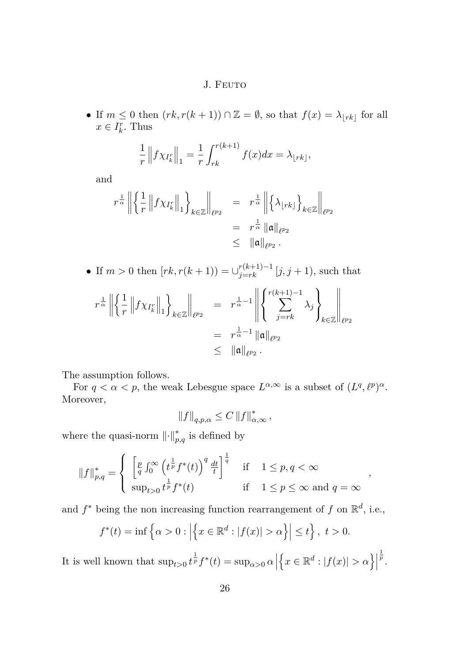• If  $m \leq 0$  then  $(rk, r(k+1)) \cap \mathbb{Z} = \emptyset$ , so that  $f(x) = \lambda_{\lfloor rk \rfloor}$  for all  $x \in I_k^r$ . Thus

$$
\frac{1}{r} \| f \chi_{I_k^r} \|_1 = \frac{1}{r} \int_{rk}^{r(k+1)} f(x) dx = \lambda_{\lfloor rk \rfloor},
$$

and

$$
r^{\frac{1}{\alpha}} \left\| \left\{ \frac{1}{r} \left\| f \chi_{I_k^r} \right\|_1 \right\}_{k \in \mathbb{Z}} \right\|_{\ell^{p_2}} = r^{\frac{1}{\alpha}} \left\| \left\{ \lambda_{\lfloor rk \rfloor} \right\}_{k \in \mathbb{Z}} \right\|_{\ell^{p_2}} = r^{\frac{1}{\alpha}} \left\| \mathfrak{a} \right\|_{\ell^{p_2}} \leq \left\| \mathfrak{a} \right\|_{\ell^{p_2}}.
$$

• If 
$$
m > 0
$$
 then  $[rk, r(k + 1)] = \bigcup_{j=rk}^{r(k+1)-1} [j, j + 1]$ , such that  
\n
$$
r^{\frac{1}{\alpha}} \left\| \left\{ \frac{1}{r} \left\| f \chi_{I_k^r} \right\|_1 \right\}_{k \in \mathbb{Z}} \right\|_{\ell^{p_2}} = r^{\frac{1}{\alpha}-1} \left\| \left\{ \sum_{j=rk}^{r(k+1)-1} \lambda_j \right\}_{k \in \mathbb{Z}} \right\|_{\ell^{p_2}}
$$
\n
$$
= r^{\frac{1}{\alpha}-1} \|\mathfrak{a}\|_{\ell^{p_2}}
$$
\n
$$
\leq \|\mathfrak{a}\|_{\ell^{p_2}}.
$$

The assumption follows.

For  $q < \alpha < p$ , the weak Lebesgue space  $L^{\alpha,\infty}$  is a subset of  $(L^q, \ell^p)^{\alpha}$ . Moreover,

$$
||f||_{q,p,\alpha} \leq C ||f||_{\alpha,\infty}^*,
$$

where the quasi-norm  $\lVert \cdot \rVert_{p,q}^{*}$  is defined by

$$
||f||_{p,q}^* = \begin{cases} \left[\frac{p}{q} \int_0^\infty \left(t^{\frac{1}{p}} f^*(t)\right)^q \frac{dt}{t}\right]^{\frac{1}{q}} & \text{if } 1 \le p, q < \infty\\ \sup_{t>0} t^{\frac{1}{p}} f^*(t) & \text{if } 1 \le p \le \infty \text{ and } q = \infty \end{cases}
$$

*,*

and  $f^*$  being the non increasing function rearrangement of  $f$  on  $\mathbb{R}^d$ , i.e.,

$$
f^*(t) = \inf \left\{ \alpha > 0 : \left| \left\{ x \in \mathbb{R}^d : |f(x)| > \alpha \right\} \right| \le t \right\}, \ t > 0.
$$

It is well known that  $\sup_{t>0} t^{\frac{1}{p}} f^*(t) = \sup_{\alpha>0} \alpha$  $\left\{ x \in \mathbb{R}^d : |f(x)| > \alpha \right\}$  $\frac{1}{p}$ .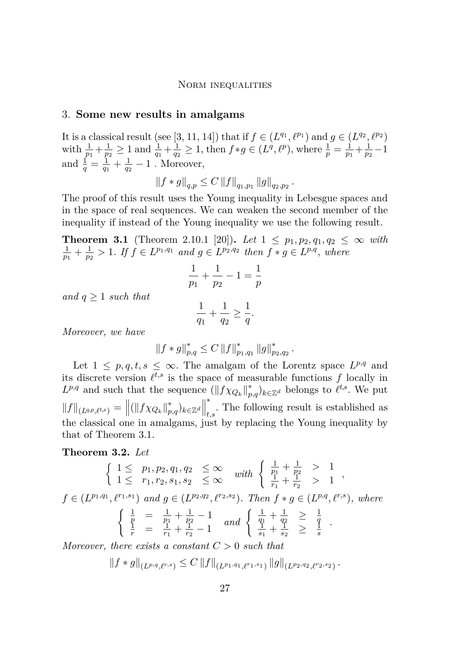#### 3. **Some new results in amalgams**

It is a classical result (see [\[3,](#page-16-0) [11,](#page-16-0) [14\]](#page-17-0)) that if  $f \in (L^{q_1}, \ell^{p_1})$  and  $g \in (L^{q_2}, \ell^{p_2})$ with  $\frac{1}{p_1} + \frac{1}{p_2}$  $\frac{1}{p_2} \geq 1$  and  $\frac{1}{q_1} + \frac{1}{q_2}$  $\frac{1}{q_2} \geq 1$ , then  $f * g \in (L^q, \ell^p)$ , where  $\frac{1}{p} = \frac{1}{p_1}$  $\frac{1}{p_1} + \frac{1}{p_2}$  $\frac{1}{p_2} - 1$ and  $\frac{1}{q} = \frac{1}{q_1}$  $\frac{1}{q_1} + \frac{1}{q_2}$  $\frac{1}{q_2} - 1$ . Moreover,

$$
||f * g||_{q,p} \leq C ||f||_{q_1,p_1} ||g||_{q_2,p_2}.
$$

The proof of this result uses the Young inequality in Lebesgue spaces and in the space of real sequences. We can weaken the second member of the inequality if instead of the Young inequality we use the following result.

**Theorem 3.1** (Theorem 2.10.1 [\[20\]](#page-17-0)). Let  $1 \leq p_1, p_2, q_1, q_2 \leq \infty$  with  $\frac{1}{p_1 + 1} > 1$  If  $f \in L^{p_1,q_1}$  and  $g \in L^{p_2,q_2}$  then  $f * g \in L^{p,q}$  where  $\frac{1}{p_1} + \frac{1}{p_2}$  $\frac{1}{p_2}$  > 1*.* If  $f \in L^{p_1,q_1}$  and  $g \in L^{p_2,q_2}$  then  $f * g \in L^{p,q}$ , where

$$
\frac{1}{p_1} + \frac{1}{p_2} - 1 = \frac{1}{p}
$$

*and q* ≥ 1 *such that*

$$
\frac{1}{q_1} + \frac{1}{q_2} \ge \frac{1}{q}.
$$

*Moreover, we have*

$$
||f * g||_{p,q}^* \leq C ||f||_{p_1,q_1}^* ||g||_{p_2,q_2}^*.
$$

Let  $1 \leq p, q, t, s \leq \infty$ . The amalgam of the Lorentz space  $L^{p,q}$  and its discrete version  $\ell^{t,s}$  is the space of measurable functions  $f$  locally in  $L^{p,q}$  and such that the sequence  $(||f \chi_{Q_k}||_p^*$  $_{p,q}^*$ )<sub>*k*∈ℤ<sup>*d*</sup></sub> belongs to  $\ell^{t,s}$ . We put  $||f||_{(L^{q,p},\ell^{t,s})} = ||(||f \chi_{Q_k}||_p^*$ <sup>\*</sup><sub>*p*,*q*</sub>)<sub>*k*∈ℤ<sup>*d*</sub> $\|$ </sup></sub> ∗ *t,s* . The following result is established as the classical one in amalgams, just by replacing the Young inequality by that of Theorem 3.1.

**Theorem 3.2.** *Let*

$$
\begin{cases}\n1 \leq p_1, p_2, q_1, q_2 \leq \infty & with \begin{cases}\n\frac{1}{p_1} + \frac{1}{p_2} > 1 \\
\frac{1}{r_1} + \frac{1}{r_2} > 1\n\end{cases}, \\
f \in (L^{p_1, q_1}, \ell^{r_1, s_1}) \text{ and } g \in (L^{p_2, q_2}, \ell^{r_2, s_2}). \text{ Then } f * g \in (L^{p, q}, \ell^{r, s}), \text{ where } \\
\begin{cases}\n\frac{1}{p} = \frac{1}{p_1} + \frac{1}{p_2} - 1 & and \begin{cases}\n\frac{1}{q_1} + \frac{1}{q_2} > \frac{1}{q} \\
\frac{1}{s_1} + \frac{1}{s_2} > \frac{1}{s}\n\end{cases}.\n\end{cases}
$$
\nMoreover, there exists a constant  $C > 0$ , such that

*Moreover, there exists a constant C >* 0 *such that*

$$
||f * g||_{(L^{p,q}, \ell^{r,s})} \leq C ||f||_{(L^{p_1,q_1}, \ell^{r_1,s_1})} ||g||_{(L^{p_2,q_2}, \ell^{r_2,s_2})}.
$$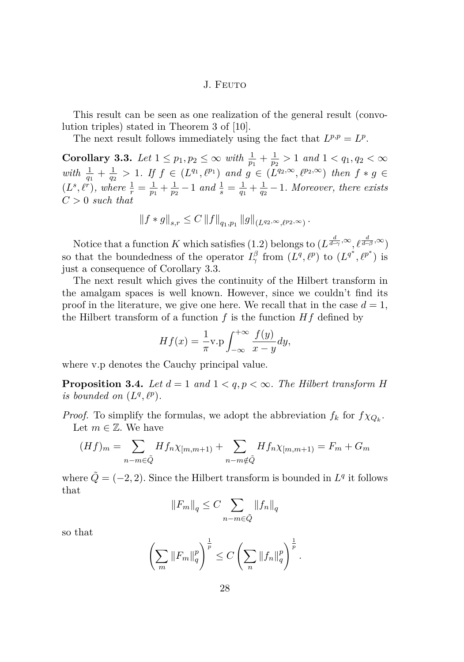This result can be seen as one realization of the general result (convolution triples) stated in Theorem 3 of [\[10\]](#page-16-0).

The next result follows immediately using the fact that  $L^{p,p} = L^p$ .

**Corollary 3.3.** *Let*  $1 \leq p_1, p_2 \leq \infty$  *with*  $\frac{1}{p_1} + \frac{1}{p_2}$  $\frac{1}{p_2}$  > 1 *and* 1 < *q*<sub>1</sub>*, q*<sub>2</sub> <  $\infty$ *with*  $\frac{1}{q_1} + \frac{1}{q_2}$  $\frac{1}{q_2}$  > 1*.* If  $f \in (L^{q_1}, \ell^{p_1})$  and  $g \in (L^{q_2}, \infty, \ell^{p_2}, \infty)$  then  $f * g \in$  $(L^s, \ell^r),$  where  $\frac{1}{r} = \frac{1}{p_1}$  $\frac{1}{p_1} + \frac{1}{p_2}$  $\frac{1}{p_2} - 1$  *and*  $\frac{1}{s} = \frac{1}{q_1}$  $\frac{1}{q_1} + \frac{1}{q_2}$  $\frac{1}{q_2} - 1$ *. Moreover, there exists C >* 0 *such that*

$$
||f * g||_{s,r} \leq C ||f||_{q_1,p_1} ||g||_{(L^{q_2,\infty}, \ell^{p_2,\infty})}.
$$

Notice that a function *K* which satisfies [\(1.2\)](#page-3-0) belongs to  $(L^{\frac{d}{d-\gamma}, \infty}, \ell^{\frac{d}{d-\beta}, \infty})$ so that the boundedness of the operator  $I^{\beta}_{\gamma}$  from  $(L^q, \ell^p)$  to  $(L^{q^*}, \ell^{p^*})$  is just a consequence of Corollary 3.3.

The next result which gives the continuity of the Hilbert transform in the amalgam spaces is well known. However, since we couldn't find its proof in the literature, we give one here. We recall that in the case  $d = 1$ , the Hilbert transform of a function  $f$  is the function  $Hf$  defined by

$$
Hf(x) = \frac{1}{\pi} \text{v.p} \int_{-\infty}^{+\infty} \frac{f(y)}{x - y} dy,
$$

where v*.*p denotes the Cauchy principal value.

**Proposition 3.4.** Let  $d = 1$  and  $1 \leq q, p \leq \infty$ . The Hilbert transform H *is bounded on*  $(L^q, \ell^p)$ *.* 

*Proof.* To simplify the formulas, we adopt the abbreviation  $f_k$  for  $f \chi_{Q_k}$ . Let  $m \in \mathbb{Z}$ . We have

$$
(Hf)_m = \sum_{n-m \in \tilde{Q}} Hf_n \chi_{[m,m+1)} + \sum_{n-m \notin \tilde{Q}} Hf_n \chi_{[m,m+1)} = F_m + G_m
$$

where  $\tilde{Q} = (-2, 2)$ . Since the Hilbert transform is bounded in  $L<sup>q</sup>$  it follows that

$$
||F_m||_q \le C \sum_{n-m \in \tilde{Q}} ||f_n||_q
$$

so that

$$
\left(\sum_{m} \|F_m\|_q^p\right)^{\frac{1}{p}} \le C \left(\sum_{n} \|f_n\|_q^p\right)^{\frac{1}{p}}.
$$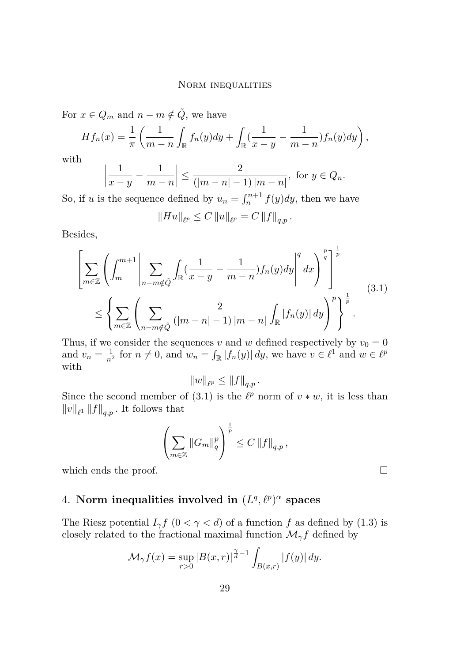For  $x \in Q_m$  and  $n - m \notin \tilde{Q}$ , we have

$$
Hf_n(x) = \frac{1}{\pi} \left( \frac{1}{m-n} \int_{\mathbb{R}} f_n(y) dy + \int_{\mathbb{R}} \left( \frac{1}{x-y} - \frac{1}{m-n} \right) f_n(y) dy \right),
$$

with

$$
\left|\frac{1}{x-y} - \frac{1}{m-n}\right| \le \frac{2}{(|m-n|-1)|m-n|}, \text{ for } y \in Q_n.
$$

So, if *u* is the sequence defined by  $u_n = \int_n^{n+1} f(y) dy$ , then we have

$$
||Hu||_{\ell^p} \leq C ||u||_{\ell^p} = C ||f||_{q,p}.
$$

Besides,

$$
\left[\sum_{m\in\mathbb{Z}}\left(\int_{m}^{m+1}\left|\sum_{n-m\notin\tilde{Q}}\int_{\mathbb{R}}\left(\frac{1}{x-y}-\frac{1}{m-n}\right)f_{n}(y)dy\right|^{q}dx\right)^{\frac{p}{q}}\right]^{\frac{1}{p}}\right]^{p}
$$
\n
$$
\leq\left\{\sum_{m\in\mathbb{Z}}\left(\sum_{n-m\notin\tilde{Q}}\frac{2}{(|m-n|-1)|m-n|}\int_{\mathbb{R}}|f_{n}(y)|dy\right)^{p}\right\}^{\frac{1}{p}}.
$$
\n(3.1)

Thus, if we consider the sequences *v* and *w* defined respectively by  $v_0 = 0$ and  $v_n = \frac{1}{n^2}$  for  $n \neq 0$ , and  $w_n = \int_{\mathbb{R}} |f_n(y)| dy$ , we have  $v \in \ell^1$  and  $w \in \ell^p$ with

$$
||w||_{\ell^p} \leq ||f||_{q,p}.
$$

Since the second member of (3.1) is the  $\ell^p$  norm of  $v * w$ , it is less than  $||v||_{\ell^1} ||f||_{q,p}$ . It follows that

$$
\left(\sum_{m\in\mathbb{Z}}\|G_m\|_q^p\right)^{\frac{1}{p}}\leq C\left\|f\right\|_{q,p},
$$

which ends the proof.  $\Box$ 

## 4. Norm inequalities involved in  $(L^q, \ell^p)^\alpha$  spaces

The Riesz potential  $I_{\gamma}f$   $(0 < \gamma < d)$  of a function *f* as defined by [\(1.3\)](#page-3-0) is closely related to the fractional maximal function  $\mathcal{M}_{\gamma}f$  defined by

$$
\mathcal{M}_{\gamma}f(x) = \sup_{r>0} |B(x,r)|^{\frac{\gamma}{d}-1} \int_{B(x,r)} |f(y)| dy.
$$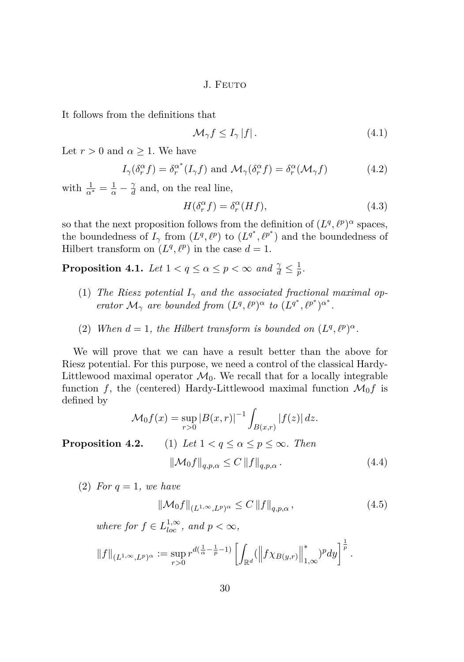<span id="page-10-0"></span>It follows from the definitions that

$$
\mathcal{M}_{\gamma}f \le I_{\gamma} |f| \,. \tag{4.1}
$$

Let  $r > 0$  and  $\alpha \geq 1$ . We have

$$
I_{\gamma}(\delta_r^{\alpha} f) = \delta_r^{\alpha^*}(I_{\gamma} f) \text{ and } \mathcal{M}_{\gamma}(\delta_r^{\alpha} f) = \delta_r^{\alpha}(\mathcal{M}_{\gamma} f)
$$
(4.2)

with  $\frac{1}{\alpha^*} = \frac{1}{\alpha} - \frac{\gamma}{d}$  $\frac{\gamma}{d}$  and, on the real line,

$$
H(\delta_r^{\alpha} f) = \delta_r^{\alpha} (Hf), \tag{4.3}
$$

so that the next proposition follows from the definition of  $(L^q, \ell^p)^\alpha$  spaces, the boundedness of  $I_\gamma$  from  $(L^q, \ell^p)$  to  $(L^{q^*}, \ell^{p^*})$  and the boundedness of Hilbert transform on  $(L^q, \ell^p)$  in the case  $d = 1$ .

**Proposition 4.1.** *Let*  $1 < q \le \alpha \le p < \infty$  *and*  $\frac{\gamma}{d} \le \frac{1}{p}$  $\frac{1}{p}$ .

- (1) *The Riesz potential*  $I_{\gamma}$  *and the associated fractional maximal operator*  $\mathcal{M}_{\gamma}$  *are bounded from*  $(L^q, \ell^p)^{\alpha}$  *to*  $(L^{q^*}, \ell^{p^*})^{\alpha^*}$ .
- (2) When  $d = 1$ , the Hilbert transform is bounded on  $(L^q, \ell^p)^\alpha$ .

We will prove that we can have a result better than the above for Riesz potential. For this purpose, we need a control of the classical Hardy-Littlewood maximal operator  $\mathcal{M}_0$ . We recall that for a locally integrable function  $f$ , the (centered) Hardy-Littlewood maximal function  $\mathcal{M}_0 f$  is defined by

$$
\mathcal{M}_0 f(x) = \sup_{r>0} |B(x,r)|^{-1} \int_{B(x,r)} |f(z)| dz.
$$

**Proposition 4.2.** (1) *Let*  $1 < q \le \alpha \le p \le \infty$ *. Then* 

$$
\left\|\mathcal{M}_0 f\right\|_{q,p,\alpha} \le C \left\|f\right\|_{q,p,\alpha}.\tag{4.4}
$$

 $(2)$  *For*  $q = 1$ *, we have* 

$$
\|\mathcal{M}_0 f\|_{(L^{1,\infty},L^p)^\alpha} \le C \|f\|_{q,p,\alpha},\tag{4.5}
$$

*where for*  $f \in L^{1,\infty}_{loc}$ *, and*  $p < \infty$ *,* 

$$
||f||_{(L^{1,\infty},L^p)^{\alpha}} := \sup_{r>0} r^{d(\frac{1}{\alpha}-\frac{1}{p}-1)} \left[ \int_{\mathbb{R}^d} (||f\chi_{B(y,r)}||^*_{1,\infty})^p dy \right]^{\frac{1}{p}}.
$$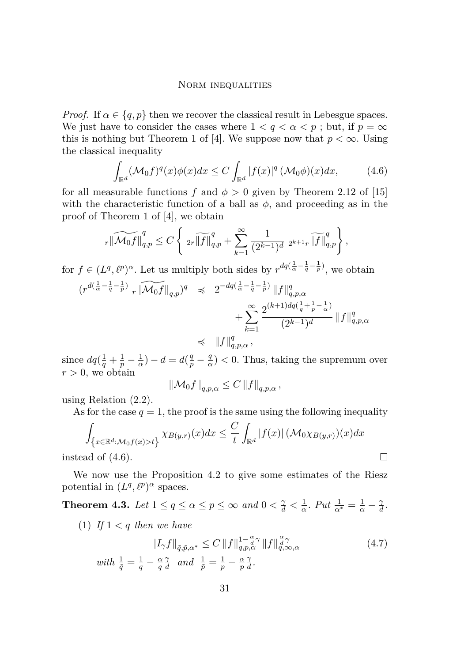<span id="page-11-0"></span>*Proof.* If  $\alpha \in \{q, p\}$  then we recover the classical result in Lebesgue spaces. We just have to consider the cases where  $1 < q < \alpha < p$ ; but, if  $p = \infty$ this is nothing but Theorem 1 of [\[4\]](#page-16-0). We suppose now that  $p < \infty$ . Using the classical inequality

$$
\int_{\mathbb{R}^d} (\mathcal{M}_0 f)^q(x) \phi(x) dx \le C \int_{\mathbb{R}^d} |f(x)|^q \left(\mathcal{M}_0 \phi\right)(x) dx,\tag{4.6}
$$

for all measurable functions  $f$  and  $\phi > 0$  given by Theorem 2.12 of [\[15\]](#page-17-0) with the characteristic function of a ball as  $\phi$ , and proceeding as in the proof of Theorem 1 of [\[4\]](#page-16-0), we obtain

$$
_{r}\|\widetilde{\mathcal{M}_{0}f}\|_{q,p}^{q}\leq C\left\{ \text{ }_{2r}\widetilde{\left\|f\right\|_{q,p}^{q}}+\sum_{k=1}^{\infty}\frac{1}{(2^{k-1})^{d}}\text{ }_{2^{k+1}r}\widetilde{\left\|f\right\|_{q,p}^{q}}\right\} ,
$$

for  $f \in (L^q, \ell^p)^\alpha$ . Let us multiply both sides by  $r^{dq(\frac{1}{\alpha} - \frac{1}{q} - \frac{1}{p})}$ , we obtain

$$
\begin{array}{rcl} \displaystyle (r^{d(\frac{1}{\alpha}-\frac{1}{q}-\frac{1}{p})}\sqrt[n]{\|M_0f\|_{q,p}})^q & \preccurlyeq & \displaystyle 2^{-dq(\frac{1}{\alpha}-\frac{1}{q}-\frac{1}{p})}\|f\|_{q,p,\alpha}^q \\ & & \displaystyle +\sum_{k=1}^\infty \frac{2^{(k+1)dq(\frac{1}{q}+\frac{1}{p}-\frac{1}{\alpha})}}{(2^{k-1})^d}\|f\|_{q,p,\alpha}^q \\ & \preccurlyeq & \|f\|_{q,p,\alpha}^q\,, \end{array}
$$

since  $dq(\frac{1}{q} + \frac{1}{p} - \frac{1}{\alpha})$  $\frac{1}{\alpha}$ ) – *d* = *d*( $\frac{q}{p}$  –  $\frac{q}{q}$  $\frac{q}{\alpha}$   $(0, 0)$ . Thus, taking the supremum over  $r > 0$ , we obtain

$$
\left\|\mathcal{M}_0 f\right\|_{q,p,\alpha} \leq C \left\|f\right\|_{q,p,\alpha},
$$

using Relation [\(2.2\)](#page-4-0).

As for the case  $q = 1$ , the proof is the same using the following inequality

$$
\int_{\{x \in \mathbb{R}^d : \mathcal{M}_0 f(x) > t\}} \chi_{B(y,r)}(x) dx \leq \frac{C}{t} \int_{\mathbb{R}^d} |f(x)| \left(\mathcal{M}_0 \chi_{B(y,r)}\right)(x) dx
$$
  
instead of (4.6).

We now use the Proposition [4.2](#page-0-0) to give some estimates of the Riesz potential in  $(L^q, \ell^p)^\alpha$  spaces.

**Theorem 4.3.** *Let*  $1 \le q \le \alpha \le p \le \infty$  *and*  $0 < \frac{\gamma}{d} < \frac{1}{\alpha}$  $\frac{1}{\alpha}$ *. Put*  $\frac{1}{\alpha^*} = \frac{1}{\alpha} - \frac{\gamma}{a}$  $\frac{\gamma}{d}$ .

(1) If  $1 < q$  then we have

$$
||I_{\gamma}f||_{\tilde{q},\tilde{p},\alpha^{*}} \leq C \, ||f||_{q,p,\alpha}^{1-\frac{\alpha}{d}\gamma} \, ||f||_{q,\infty,\alpha}^{\frac{\alpha}{d}\gamma} \tag{4.7}
$$

*with*  $\frac{1}{\tilde{q}} = \frac{1}{q} - \frac{\alpha}{q}$ *q γ*  $\frac{\gamma}{d}$  and  $\frac{1}{\tilde{p}} = \frac{1}{p} - \frac{\alpha}{p}$ *p γ*  $\frac{\gamma}{d}$  .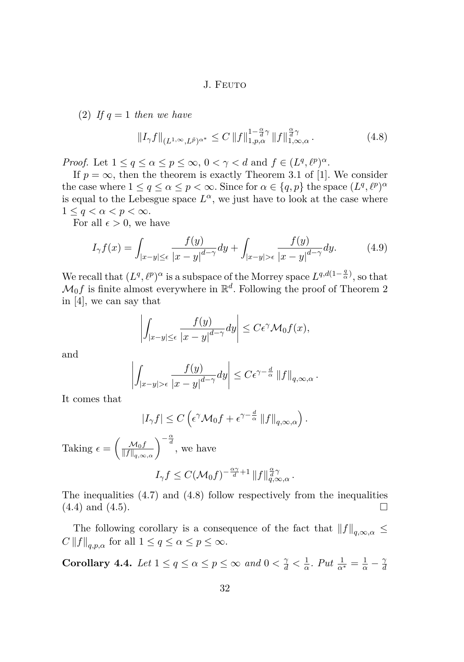(2) If  $q = 1$  then we have

$$
||I_{\gamma}f||_{(L^{1,\infty},L^{\tilde{p}})^{\alpha^*}} \leq C ||f||_{1,p,\alpha}^{1-\frac{\alpha}{d}\gamma} ||f||_{1,\infty,\alpha}^{\frac{\alpha}{d}\gamma}.
$$
\n(4.8)

*Proof.* Let  $1 \le q \le \alpha \le p \le \infty$ ,  $0 < \gamma < d$  and  $f \in (L^q, \ell^p)^{\alpha}$ .

If  $p = \infty$ , then the theorem is exactly Theorem 3.1 of [\[1\]](#page-16-0). We consider the case where  $1 \le q \le \alpha \le p < \infty$ . Since for  $\alpha \in \{q, p\}$  the space  $(L^q, \ell^p)^\alpha$ is equal to the Lebesgue space  $L^{\alpha}$ , we just have to look at the case where  $1 \leq q \leq \alpha \leq p \leq \infty$ .

For all  $\epsilon > 0$ , we have

$$
I_{\gamma}f(x) = \int_{|x-y| \le \epsilon} \frac{f(y)}{|x-y|^{d-\gamma}} dy + \int_{|x-y| > \epsilon} \frac{f(y)}{|x-y|^{d-\gamma}} dy. \tag{4.9}
$$

We recall that  $(L^q, \ell^p)^\alpha$  is a subspace of the Morrey space  $L^{q, d(1-\frac{q}{\alpha})}$ , so that  $\mathcal{M}_0 f$  is finite almost everywhere in  $\mathbb{R}^d$ . Following the proof of Theorem 2 in [\[4\]](#page-16-0), we can say that

$$
\left| \int_{|x-y| \leq \epsilon} \frac{f(y)}{|x-y|^{d-\gamma}} dy \right| \leq C\epsilon^{\gamma} \mathcal{M}_0 f(x),
$$

and

$$
\left| \int_{|x-y|>\epsilon} \frac{f(y)}{|x-y|^{d-\gamma}} dy \right| \leq C \epsilon^{\gamma - \frac{d}{\alpha}} ||f||_{q,\infty,\alpha}.
$$

It comes that

$$
|I_{\gamma}f| \leq C \left(\epsilon^{\gamma} \mathcal{M}_0 f + \epsilon^{\gamma - \frac{d}{\alpha}} \|f\|_{q,\infty,\alpha}\right).
$$

Taking  $\epsilon = \begin{pmatrix} \frac{\mathcal{M}_0 f}{\|\mathbf{f}\| \|\mathbf{f}\|} \end{pmatrix}$  $\frac{\mathcal{M}_0 f}{\|f\|_{q,\infty,\alpha}}$   $\Big)^{-\frac{\alpha}{d}}$ , we have  $I_{\gamma} f \leq C(\mathcal{M}_0 f)^{-\frac{\alpha \gamma}{d}+1} \|f\|_{q,\infty,\alpha}^{\frac{\alpha}{d},\gamma}.$ 

The inequalities [\(4.7\)](#page-11-0) and (4.8) follow respectively from the inequalities  $(4.4)$  and  $(4.5)$ .

The following corollary is a consequence of the fact that  $||f||_{a,\infty,\alpha} \leq$  $C \left\|f\right\|_{q,p,\alpha}$  for all  $1 \leq q \leq \alpha \leq p \leq \infty$ .

**Corollary 4.4.** *Let*  $1 \le q \le \alpha \le p \le \infty$  *and*  $0 < \frac{\gamma}{d} < \frac{1}{\alpha}$  $\frac{1}{\alpha}$ *. Put*  $\frac{1}{\alpha^*} = \frac{1}{\alpha} - \frac{\gamma}{a}$ *d*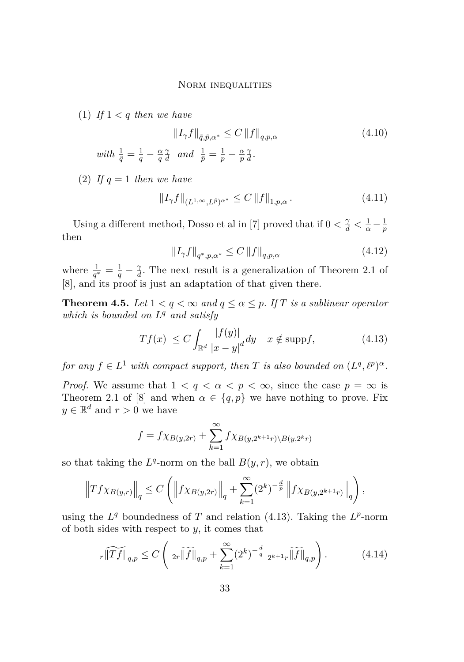<span id="page-13-0"></span>(1) If  $1 < q$  then we have

$$
||I_{\gamma}f||_{\tilde{q},\tilde{p},\alpha^{*}} \leq C ||f||_{q,p,\alpha}
$$
\n
$$
with \frac{1}{\tilde{q}} = \frac{1}{q} - \frac{\alpha}{q} \frac{\gamma}{d} \quad and \quad \frac{1}{\tilde{p}} = \frac{1}{p} - \frac{\alpha}{p} \frac{\gamma}{d}.
$$
\n
$$
(4.10)
$$

(2) If  $q = 1$  then we have

$$
\|I_{\gamma}f\|_{(L^{1,\infty},L^{\tilde{p}})^{\alpha^*}} \leq C\left\|f\right\|_{1,p,\alpha}.\tag{4.11}
$$

Using a different method, Dosso et al in [\[7\]](#page-16-0) proved that if  $0 < \frac{\gamma}{d} < \frac{1}{\alpha} - \frac{1}{p}$ *p* then

$$
\|I_{\gamma}f\|_{q^*,p,\alpha^*} \le C \, \|f\|_{q,p,\alpha} \tag{4.12}
$$

where  $\frac{1}{q^*} = \frac{1}{q} - \frac{\gamma}{d}$  $\frac{\gamma}{d}$ . The next result is a generalization of Theorem 2.1 of [\[8\]](#page-16-0), and its proof is just an adaptation of that given there.

**Theorem 4.5.** *Let*  $1 < q < \infty$  *and*  $q \leq \alpha \leq p$ *. If T is a sublinear operator which is bounded on L <sup>q</sup> and satisfy*

$$
|Tf(x)| \le C \int_{\mathbb{R}^d} \frac{|f(y)|}{|x-y|^d} dy \quad x \notin \text{supp} f,
$$
 (4.13)

*for any*  $f \in L^1$  *with compact support, then T is also bounded on*  $(L^q, \ell^p)^{\alpha}$ *.* 

*Proof.* We assume that  $1 < q < \alpha < p < \infty$ , since the case  $p = \infty$  is Theorem 2.1 of [\[8\]](#page-16-0) and when  $\alpha \in \{q, p\}$  we have nothing to prove. Fix  $y \in \mathbb{R}^d$  and  $r > 0$  we have

$$
f = f\chi_{B(y,2r)} + \sum_{k=1}^{\infty} f\chi_{B(y,2^{k+1}r)\backslash B(y,2^kr)}
$$

so that taking the  $L^q$ -norm on the ball  $B(y, r)$ , we obtain

$$
\left\|Tf\chi_{B(y,r)}\right\|_{q} \leq C\left(\left\|f\chi_{B(y,2r)}\right\|_{q} + \sum_{k=1}^{\infty} (2^{k})^{-\frac{d}{p}}\left\|f\chi_{B(y,2^{k+1}r)}\right\|_{q}\right),
$$

using the  $L^q$  boundedness of *T* and relation (4.13). Taking the  $L^p$ -norm of both sides with respect to *y*, it comes that

$$
r\widetilde{\|Tf\|}_{q,p} \le C\left(\left\|T\widetilde{\|f\|}_{q,p} + \sum_{k=1}^{\infty} (2^k)^{-\frac{d}{q}} \left\|T\widetilde{\|f\|}_{q,p}\right\}\right). \tag{4.14}
$$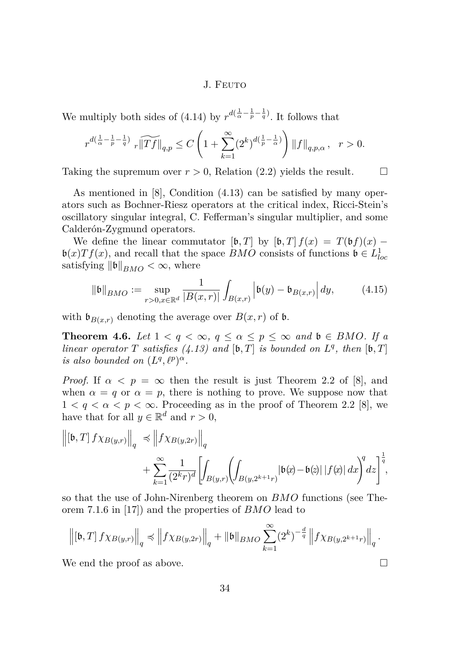We multiply both sides of [\(4.14\)](#page-13-0) by  $r^{d(\frac{1}{\alpha} - \frac{1}{p} - \frac{1}{q})}$ . It follows that

$$
r^{d(\frac{1}{\alpha}-\frac{1}{p}-\frac{1}{q})}\sqrt[n]{\Vert Tf \Vert}_{q,p}\leq C\left(1+\sum_{k=1}^{\infty}(2^k)^{d(\frac{1}{p}-\frac{1}{\alpha})}\right)\Vert f \Vert_{q,p,\alpha},\quad r>0.
$$

Taking the supremum over  $r > 0$ , Relation [\(2.2\)](#page-4-0) yields the result.

As mentioned in [\[8\]](#page-16-0), Condition [\(4.13\)](#page-13-0) can be satisfied by many operators such as Bochner-Riesz operators at the critical index, Ricci-Stein's oscillatory singular integral, C. Fefferman's singular multiplier, and some Calderón-Zygmund operators.

We define the linear commutator  $[\mathfrak{b}, T]$  by  $[\mathfrak{b}, T] f(x) = T(\mathfrak{b} f)(x)$  –  $\mathfrak{b}(x)Tf(x)$ , and recall that the space *BMO* consists of functions  $\mathfrak{b} \in L^1_{loc}$ satisfying  $\|\mathfrak{b}\|_{BMO} < \infty$ , where

$$
\|\mathfrak{b}\|_{BMO} := \sup_{r>0, x \in \mathbb{R}^d} \frac{1}{|B(x,r)|} \int_{B(x,r)} \left| \mathfrak{b}(y) - \mathfrak{b}_{B(x,r)} \right| dy, \tag{4.15}
$$

with  $\mathfrak{b}_{B(x,r)}$  denoting the average over  $B(x,r)$  of  $\mathfrak{b}$ .

**Theorem 4.6.** *Let*  $1 < q < \infty$ ,  $q \leq \alpha \leq p \leq \infty$  *and*  $\mathfrak{b} \in BMO$ *. If a linear operator*  $T$  *satisfies* [\(4.13\)](#page-13-0) and [b,  $T$ ] *is bounded on*  $L^q$ , *then* [b,  $T$ ] *is also bounded on*  $(L^q, \ell^p)^\alpha$ *.* 

*Proof.* If  $\alpha < p = \infty$  then the result is just Theorem 2.2 of [\[8\]](#page-16-0), and when  $\alpha = q$  or  $\alpha = p$ , there is nothing to prove. We suppose now that  $1 < q < \alpha < p < \infty$ . Proceeding as in the proof of Theorem 2.2 [\[8\]](#page-16-0), we have that for all  $y \in \mathbb{R}^d$  and  $r > 0$ ,

$$
\left\| \left[\mathfrak{b},T\right] f \chi_{B(y,r)} \right\|_{q} \preccurlyeq \left\| f \chi_{B(y,2r)} \right\|_{q} + \sum_{k=1}^{\infty} \frac{1}{(2^k r)^d} \left[ \int_{B(y,r)} \left( \int_{B(y,2^{k+1}r)} \left| \mathfrak{b}(x) - \mathfrak{b}(z) \right| \left| f(x) \right| dx \right)^{q} dz \right]^{\frac{1}{q}},
$$

so that the use of John-Nirenberg theorem on *BMO* functions (see Theorem 7.1.6 in [\[17\]](#page-17-0)) and the properties of *BMO* lead to

$$
\left\| \left[\mathfrak{b},T\right] f \chi_{B(y,r)} \right\|_{q} \preccurlyeq \left\| f \chi_{B(y,2r)} \right\|_{q} + \|\mathfrak{b}\|_{BMO} \sum_{k=1}^{\infty} (2^{k})^{-\frac{d}{q}} \left\| f \chi_{B(y,2^{k+1}r)} \right\|_{q}.
$$

We end the proof as above.  $\Box$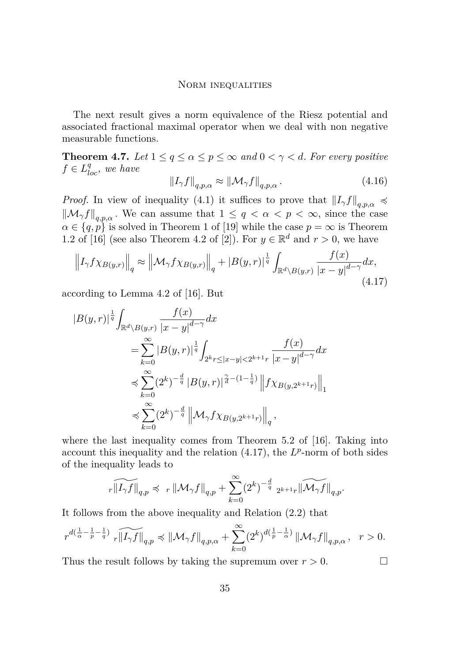The next result gives a norm equivalence of the Riesz potential and associated fractional maximal operator when we deal with non negative measurable functions.

**Theorem 4.7.** *Let*  $1 \leq q \leq \alpha \leq p \leq \infty$  *and*  $0 < \gamma < d$ *. For every positive*  $f \in L^{q}_{loc}$ *, we have* 

$$
\|I_{\gamma}f\|_{q,p,\alpha} \approx \|\mathcal{M}_{\gamma}f\|_{q,p,\alpha}.
$$
\n(4.16)

*Proof.* In view of inequality [\(4.1\)](#page-10-0) it suffices to prove that  $\|I_{\gamma}f\|_{q,p,\alpha} \preccurlyeq$  $\|\mathcal{M}_{\gamma}f\|_{q,p,\alpha}$ . We can assume that  $1 \leq q < \alpha < p < \infty$ , since the case  $\alpha \in \{q, p\}$  is solved in Theorem 1 of [\[19\]](#page-17-0) while the case  $p = \infty$  is Theorem 1.2 of [\[16\]](#page-17-0) (see also Theorem 4.2 of [\[2\]](#page-16-0)). For  $y \in \mathbb{R}^d$  and  $r > 0$ , we have

$$
\left\| I_{\gamma} f \chi_{B(y,r)} \right\|_{q} \approx \left\| \mathcal{M}_{\gamma} f \chi_{B(y,r)} \right\|_{q} + \left| B(y,r) \right|^{\frac{1}{q}} \int_{\mathbb{R}^{d} \backslash B(y,r)} \frac{f(x)}{|x-y|^{d-\gamma}} dx,
$$
\n(4.17)

according to Lemma 4.2 of [\[16\]](#page-17-0). But

$$
|B(y,r)|^{\frac{1}{q}} \int_{\mathbb{R}^d \backslash B(y,r)} \frac{f(x)}{|x-y|^{d-\gamma}} dx
$$
  
\n
$$
= \sum_{k=0}^{\infty} |B(y,r)|^{\frac{1}{q}} \int_{2^k r \le |x-y| < 2^{k+1} r} \frac{f(x)}{|x-y|^{d-\gamma}} dx
$$
  
\n
$$
\le \sum_{k=0}^{\infty} (2^k)^{-\frac{d}{q}} |B(y,r)|^{\frac{\gamma}{d}-(1-\frac{1}{q})} \|f \chi_{B(y,2^{k+1}r)}\|_1
$$
  
\n
$$
\le \sum_{k=0}^{\infty} (2^k)^{-\frac{d}{q}} \| \mathcal{M}_{\gamma} f \chi_{B(y,2^{k+1}r)} \|_q,
$$

where the last inequality comes from Theorem 5.2 of [\[16\]](#page-17-0). Taking into account this inequality and the relation  $(4.17)$ , the  $L^p$ -norm of both sides of the inequality leads to

$$
\widetilde{{}_r\|I_\gamma f\|}_{q,p} \preccurlyeq \ _{r} \left\|{\mathcal M}_\gamma f\right\|_{q,p} + \sum_{k=0}^\infty (2^k)^{-\frac{d}{q}} \ _{2^{k+1}r} \left\|\widetilde{{\mathcal M}_\gamma f}\right\|_{q,p}.
$$

It follows from the above inequality and Relation [\(2.2\)](#page-4-0) that

$$
r^{d(\frac{1}{\alpha}-\frac{1}{p}-\frac{1}{q})}\,\,\widetilde{_{r}\|I_{\gamma}f\|}_{q,p}\preccurlyeq\|\mathcal{M}_{\gamma}f\|_{q,p,\alpha}+\sum_{k=0}^{\infty}(2^{k})^{d(\frac{1}{p}-\frac{1}{\alpha})}\left\|\mathcal{M}_{\gamma}f\right\|_{q,p,\alpha},\ \ r>0.
$$

Thus the result follows by taking the supremum over  $r > 0$ .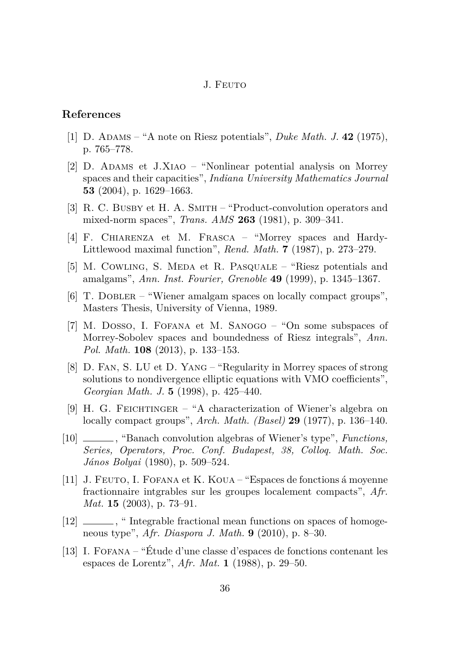#### <span id="page-16-0"></span>**References**

- [1] D. Adams "A note on Riesz potentials", *Duke Math. J.* **42** (1975), p. 765–778.
- [2] D. Adams et J.Xiao "Nonlinear potential analysis on Morrey spaces and their capacities", *Indiana University Mathematics Journal* **53** (2004), p. 1629–1663.
- [3] R. C. BUSBY et H. A. SMITH "Product-convolution operators and mixed-norm spaces", *Trans. AMS* **263** (1981), p. 309–341.
- [4] F. Chiarenza et M. Frasca "Morrey spaces and Hardy-Littlewood maximal function", *Rend. Math.* **7** (1987), p. 273–279.
- [5] M. Cowling, S. Meda et R. Pasquale "Riesz potentials and amalgams", *Ann. Inst. Fourier, Grenoble* **49** (1999), p. 1345–1367.
- [6] T. DOBLER "Wiener amalgam spaces on locally compact groups", Masters Thesis, University of Vienna, 1989.
- [7] M. Dosso, I. Fofana et M. Sanogo "On some subspaces of Morrey-Sobolev spaces and boundedness of Riesz integrals", *Ann. Pol. Math.* **108** (2013), p. 133–153.
- [8] D. Fan, S. LU et D. Yang "Regularity in Morrey spaces of strong solutions to nondivergence elliptic equations with VMO coefficients", *Georgian Math. J.* **5** (1998), p. 425–440.
- [9] H. G. Feichtinger "A characterization of Wiener's algebra on locally compact groups", *Arch. Math. (Basel)* **29** (1977), p. 136–140.
- [10] , "Banach convolution algebras of Wiener's type", *Functions, Series, Operators, Proc. Conf. Budapest, 38, Colloq. Math. Soc. János Bolyai* (1980), p. 509–524.
- [11] J. Feuto, I. Fofana et K. Koua "Espaces de fonctions á moyenne fractionnaire intgrables sur les groupes localement compacts", *Afr. Mat.* **15** (2003), p. 73–91.
- [12] \_\_\_\_\_\_\_, " Integrable fractional mean functions on spaces of homogeneous type", *Afr. Diaspora J. Math.* **9** (2010), p. 8–30.
- [13] I. Fofana "Étude d'une classe d'espaces de fonctions contenant les espaces de Lorentz", *Afr. Mat.* **1** (1988), p. 29–50.